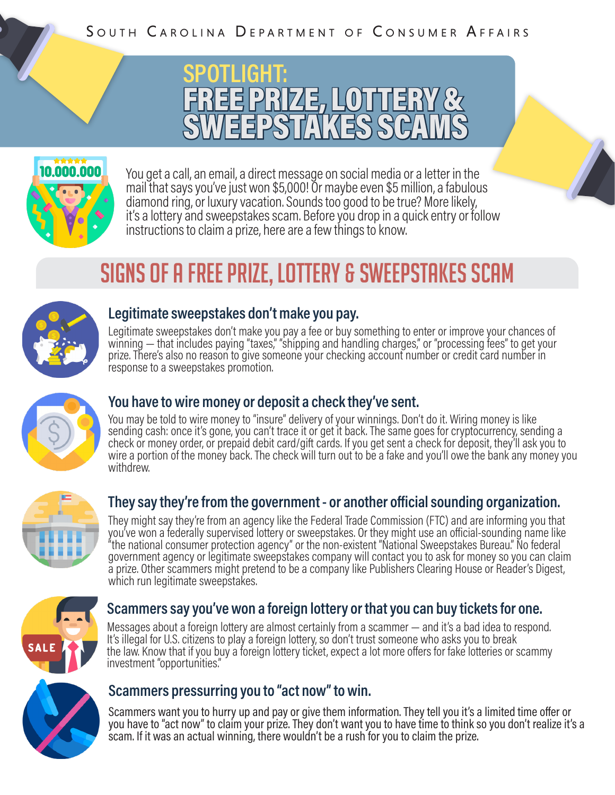



You get a call, an email, a direct message on social media or a letter in the mail that says you've just won \$5,000! Or maybe even \$5 million, a fabulous diamond ring, or luxury vacation. Sounds too good to be true? More likely, it's a lottery and sweepstakes scam. Before you drop in a quick entry or follow instructions to claim a prize, here are a few things to know.

# SIGNS OF A FREE PRIZE, LOTTERY & SWEEPSTAKES SCAM



#### **Legitimate sweepstakes don't make you pay.**

Legitimate sweepstakes don't make you pay a fee or buy something to enter or improve your chances of winning — that includes paying "taxes," "shipping and handling charges," or "processing fees" to get your prize. There's also no reason to give someone your checking account number or credit card number in response to a sweepstakes promotion.



### **You have to wire money or deposit a check they've sent.**

You may be told to wire money to "insure" delivery of your winnings. Don't do it. Wiring money is like sending cash: once it's gone, you can't trace it or get it back. The same goes for cryptocurrency, sending a check or money order, or prepaid debit card/gift cards. If you get sent a check for deposit, they'll ask you to wire a portion of the money back. The check will turn out to be a fake and you'll owe the bank any money you withdrew.



### **They say they're from the government - or another official sounding organization.**

They might say they're from an agency like the Federal Trade Commission (FTC) and are informing you that you've won a federally supervised lottery or sweepstakes. Or they might use an official-sounding name like "the national consumer protection agency" or the non-existent "National Sweepstakes Bureau." No federal government agency or legitimate sweepstakes company will contact you to ask for money so you can claim a prize. Other scammers might pretend to be a company like Publishers Clearing House or Reader's Digest, which run legitimate sweepstakes.



#### **Scammers say you've won a foreign lottery or that you can buy tickets for one.**

Messages about a foreign lottery are almost certainly from a scammer — and it's a bad idea to respond. It's illegal for U.S. citizens to play a foreign lottery, so don't trust someone who asks you to break the law. Know that if you buy a foreign lottery ticket, expect a lot more offers for fake lotteries or scammy investment "opportunities."



#### **Scammers pressurring you to "act now" to win.**

Scammers want you to hurry up and pay or give them information. They tell you it's a limited time offer or you have to "act now" to claim your prize. They don't want you to have time to think so you don't realize it's a scam. If it was an actual winning, there wouldn't be a rush for you to claim the prize.